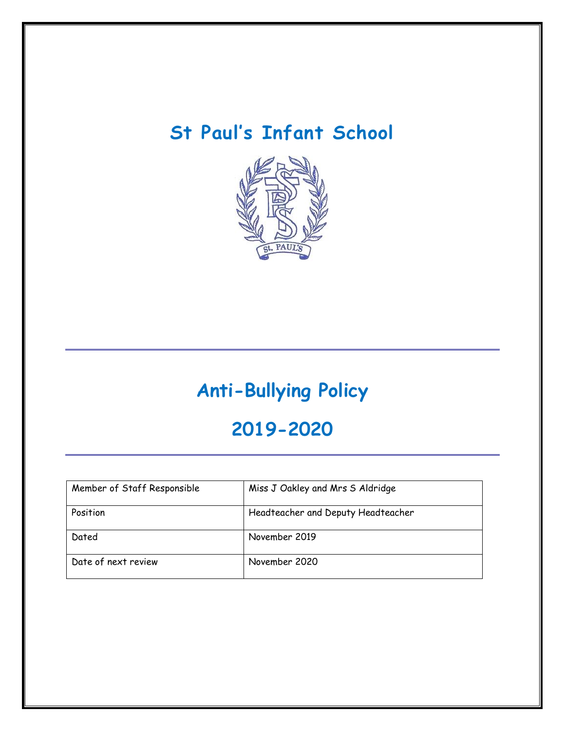## **St Paul's Infant School**



# **Anti-Bullying Policy**

### **2019-2020**

| Member of Staff Responsible | Miss J Oakley and Mrs S Aldridge   |
|-----------------------------|------------------------------------|
| Position                    | Headteacher and Deputy Headteacher |
| Dated                       | November 2019                      |
| Date of next review         | November 2020                      |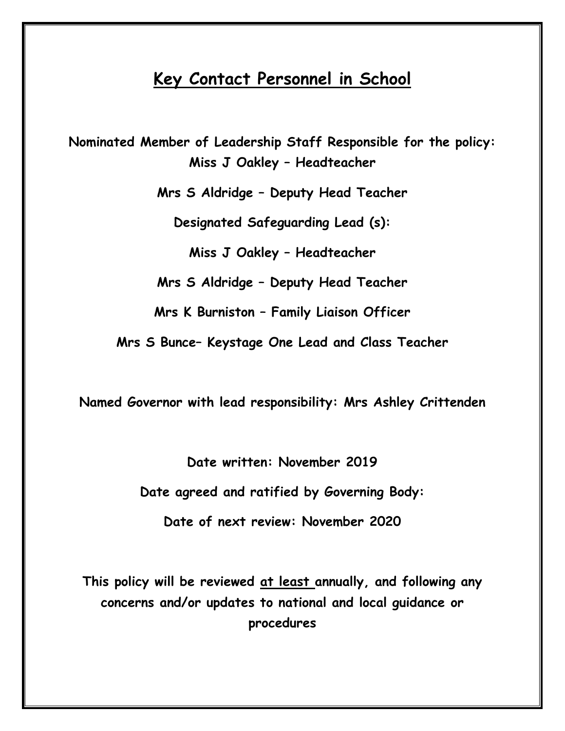### **Key Contact Personnel in School**

**Nominated Member of Leadership Staff Responsible for the policy: Miss J Oakley – Headteacher**

**Mrs S Aldridge – Deputy Head Teacher**

**Designated Safeguarding Lead (s):** 

**Miss J Oakley – Headteacher**

**Mrs S Aldridge – Deputy Head Teacher**

**Mrs K Burniston – Family Liaison Officer**

**Mrs S Bunce– Keystage One Lead and Class Teacher**

**Named Governor with lead responsibility: Mrs Ashley Crittenden**

**Date written: November 2019 Date agreed and ratified by Governing Body: Date of next review: November 2020**

**This policy will be reviewed at least annually, and following any concerns and/or updates to national and local guidance or procedures**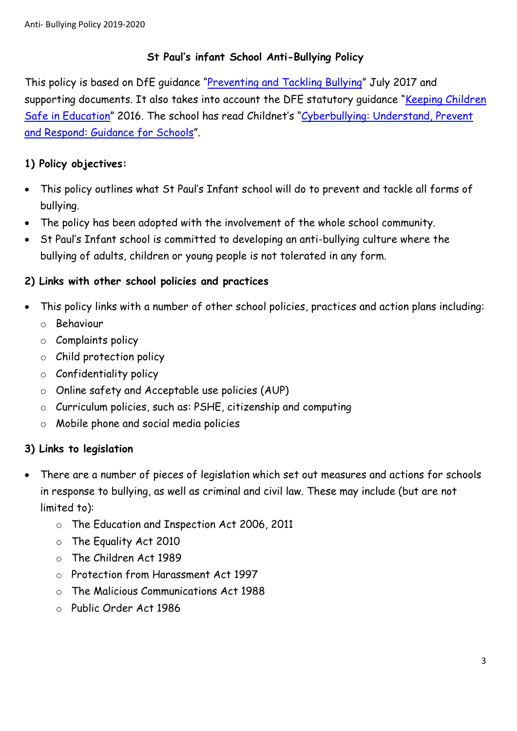#### **St Paul's infant School Anti-Bullying Policy**

This policy is based on DfE guidance "[Preventing and Tackling Bullying](file:///C:/Users/AssitA01/AppData/Local/Microsoft/Windows/Temporary%20Internet%20Files/Content.Outlook/ZQ0RB9FM/•%09https:/www.gov.uk/government/publications/preventing-and-tackling-bullying)" July 2017 and supporting documents. It also takes into account the DFE statutory quidance "Keeping Children [Safe in Education](https://www.gov.uk/government/publications/keeping-children-safe-in-education--2)" 2016. The school has read Childnet's "Cyberbullying: Understand, Prevent [and Respond: Guidance for Schools](file:///C:/Users/AssitA01/AppData/Local/Microsoft/Windows/Temporary%20Internet%20Files/Content.Outlook/ZQ0RB9FM/www.childnet.com/resources/cyberbullying-guidance-for-schools)".

#### **1) Policy objectives:**

- This policy outlines what St Paul's Infant school will do to prevent and tackle all forms of bullying.
- The policy has been adopted with the involvement of the whole school community.
- St Paul's Infant school is committed to developing an anti-bullying culture where the bullying of adults, children or young people is not tolerated in any form.

#### **2) Links with other school policies and practices**

- This policy links with a number of other school policies, practices and action plans including:
	- o Behaviour
	- o Complaints policy
	- o Child protection policy
	- o Confidentiality policy
	- o Online safety and Acceptable use policies (AUP)
	- o Curriculum policies, such as: PSHE, citizenship and computing
	- o Mobile phone and social media policies

#### **3) Links to legislation**

- There are a number of pieces of legislation which set out measures and actions for schools in response to bullying, as well as criminal and civil law. These may include (but are not limited to):
	- o The Education and Inspection Act 2006, 2011
	- o The Equality Act 2010
	- o The Children Act 1989
	- o Protection from Harassment Act 1997
	- o The Malicious Communications Act 1988
	- o Public Order Act 1986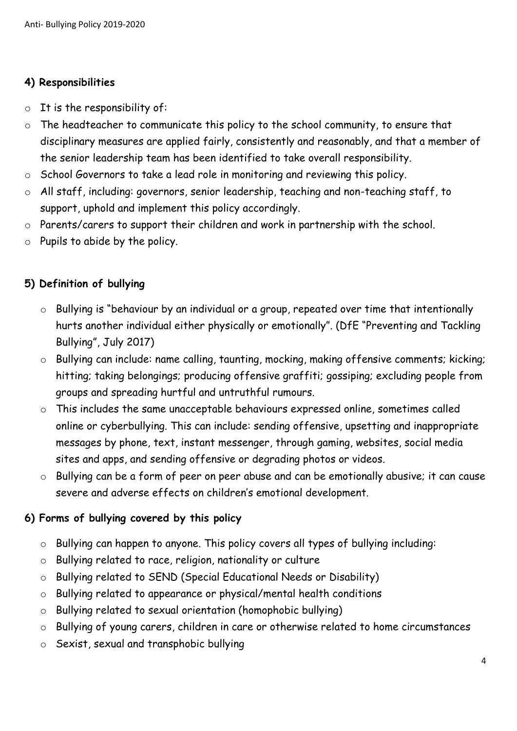#### **4) Responsibilities**

- $\circ$  It is the responsibility of:
- o The headteacher to communicate this policy to the school community, to ensure that disciplinary measures are applied fairly, consistently and reasonably, and that a member of the senior leadership team has been identified to take overall responsibility.
- o School Governors to take a lead role in monitoring and reviewing this policy.
- o All staff, including: governors, senior leadership, teaching and non-teaching staff, to support, uphold and implement this policy accordingly.
- o Parents/carers to support their children and work in partnership with the school.
- $\circ$  Pupils to abide by the policy.

#### **5) Definition of bullying**

- Bullying is "behaviour by an individual or a group, repeated over time that intentionally hurts another individual either physically or emotionally". (DfE "Preventing and Tackling Bullying", July 2017)
- o Bullying can include: name calling, taunting, mocking, making offensive comments; kicking; hitting; taking belongings; producing offensive graffiti; gossiping; excluding people from groups and spreading hurtful and untruthful rumours.
- o This includes the same unacceptable behaviours expressed online, sometimes called online or cyberbullying. This can include: sending offensive, upsetting and inappropriate messages by phone, text, instant messenger, through gaming, websites, social media sites and apps, and sending offensive or degrading photos or videos.
- o Bullying can be a form of peer on peer abuse and can be emotionally abusive; it can cause severe and adverse effects on children's emotional development.

#### **6) Forms of bullying covered by this policy**

- o Bullying can happen to anyone. This policy covers all types of bullying including:
- o Bullying related to race, religion, nationality or culture
- o Bullying related to SEND (Special Educational Needs or Disability)
- o Bullying related to appearance or physical/mental health conditions
- o Bullying related to sexual orientation (homophobic bullying)
- o Bullying of young carers, children in care or otherwise related to home circumstances
- o Sexist, sexual and transphobic bullying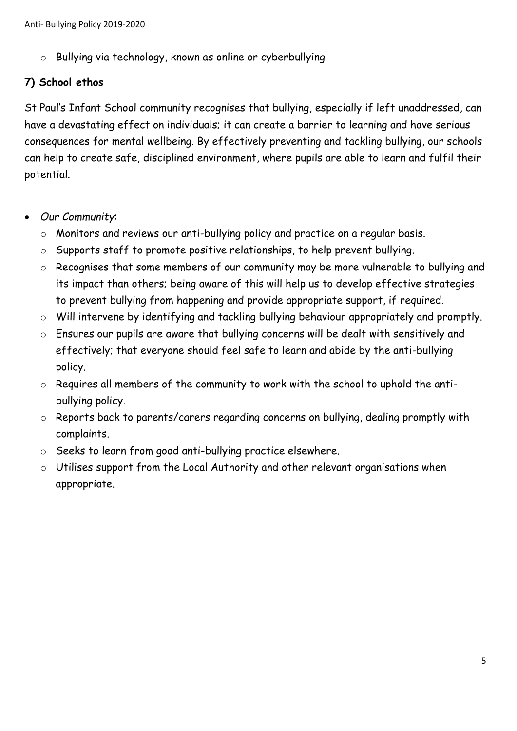o Bullying via technology, known as online or cyberbullying

#### **7) School ethos**

St Paul's Infant School community recognises that bullying, especially if left unaddressed, can have a devastating effect on individuals; it can create a barrier to learning and have serious consequences for mental wellbeing. By effectively preventing and tackling bullying, our schools can help to create safe, disciplined environment, where pupils are able to learn and fulfil their potential.

- *Our Community*:
	- o Monitors and reviews our anti-bullying policy and practice on a regular basis.
	- o Supports staff to promote positive relationships, to help prevent bullying.
	- o Recognises that some members of our community may be more vulnerable to bullying and its impact than others; being aware of this will help us to develop effective strategies to prevent bullying from happening and provide appropriate support, if required.
	- o Will intervene by identifying and tackling bullying behaviour appropriately and promptly.
	- o Ensures our pupils are aware that bullying concerns will be dealt with sensitively and effectively; that everyone should feel safe to learn and abide by the anti-bullying policy.
	- o Requires all members of the community to work with the school to uphold the antibullying policy.
	- o Reports back to parents/carers regarding concerns on bullying, dealing promptly with complaints.
	- o Seeks to learn from good anti-bullying practice elsewhere.
	- o Utilises support from the Local Authority and other relevant organisations when appropriate.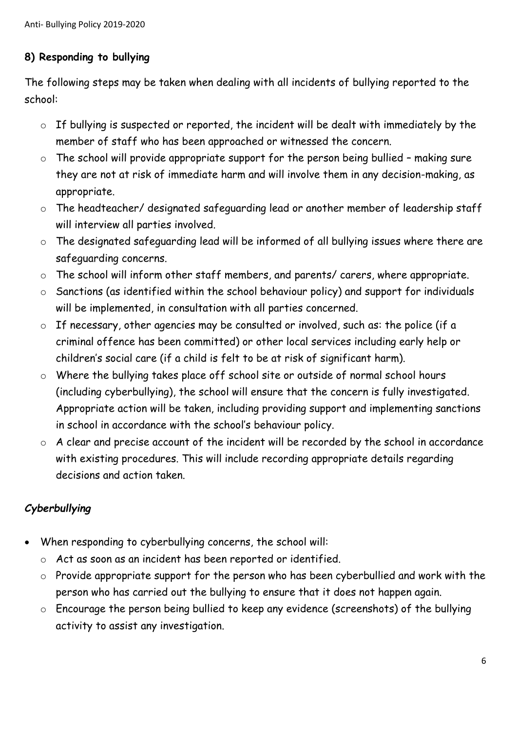#### **8) Responding to bullying**

The following steps may be taken when dealing with all incidents of bullying reported to the school:

- o If bullying is suspected or reported, the incident will be dealt with immediately by the member of staff who has been approached or witnessed the concern.
- $\circ$  The school will provide appropriate support for the person being bullied making sure they are not at risk of immediate harm and will involve them in any decision-making, as appropriate.
- o The headteacher/ designated safeguarding lead or another member of leadership staff will interview all parties involved.
- o The designated safeguarding lead will be informed of all bullying issues where there are safeguarding concerns.
- o The school will inform other staff members, and parents/ carers, where appropriate.
- o Sanctions (as identified within the school behaviour policy) and support for individuals will be implemented, in consultation with all parties concerned.
- o If necessary, other agencies may be consulted or involved, such as: the police (if a criminal offence has been committed) or other local services including early help or children's social care (if a child is felt to be at risk of significant harm).
- o Where the bullying takes place off school site or outside of normal school hours (including cyberbullying), the school will ensure that the concern is fully investigated. Appropriate action will be taken, including providing support and implementing sanctions in school in accordance with the school's behaviour policy.
- o A clear and precise account of the incident will be recorded by the school in accordance with existing procedures. This will include recording appropriate details regarding decisions and action taken.

#### *Cyberbullying*

- When responding to cyberbullying concerns, the school will:
	- o Act as soon as an incident has been reported or identified.
	- o Provide appropriate support for the person who has been cyberbullied and work with the person who has carried out the bullying to ensure that it does not happen again.
	- o Encourage the person being bullied to keep any evidence (screenshots) of the bullying activity to assist any investigation.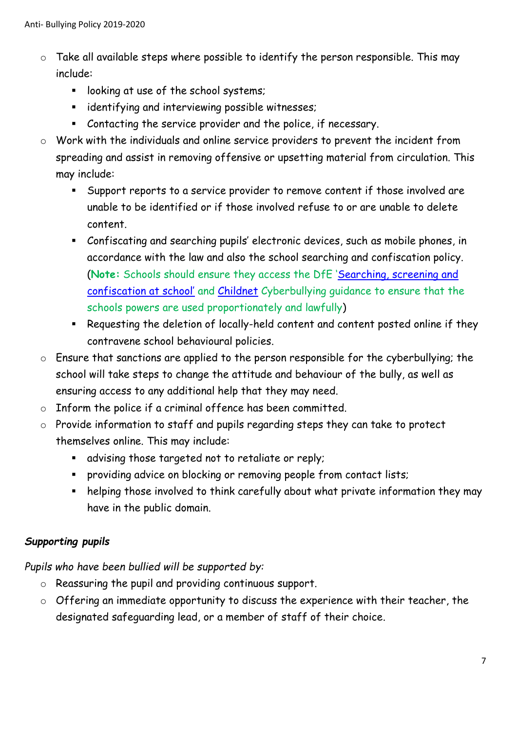- $\circ$  Take all available steps where possible to identify the person responsible. This may include:
	- **If** looking at use of the school systems;
	- **EXEDENTIFY** identifying and interviewing possible witnesses;
	- Contacting the service provider and the police, if necessary.
- o Work with the individuals and online service providers to prevent the incident from spreading and assist in removing offensive or upsetting material from circulation. This may include:
	- Support reports to a service provider to remove content if those involved are unable to be identified or if those involved refuse to or are unable to delete content.
	- Confiscating and searching pupils' electronic devices, such as mobile phones, in accordance with the law and also the school searching and confiscation policy. (**Note:** Schools should ensure they access the DfE '[Searching, screening and](https://www.gov.uk/government/publications/searching-screening-and-confiscation)  [confiscation at school'](https://www.gov.uk/government/publications/searching-screening-and-confiscation) and [Childnet](http://www.childnet.com/resources/cyberbullying-guidance-for-schools) Cyberbullying guidance to ensure that the schools powers are used proportionately and lawfully)
	- Requesting the deletion of locally-held content and content posted online if they contravene school behavioural policies.
- o Ensure that sanctions are applied to the person responsible for the cyberbullying; the school will take steps to change the attitude and behaviour of the bully, as well as ensuring access to any additional help that they may need.
- o Inform the police if a criminal offence has been committed.
- o Provide information to staff and pupils regarding steps they can take to protect themselves online. This may include:
	- advising those targeted not to retaliate or reply;
	- **Peroviding advice on blocking or removing people from contact lists;**
	- helping those involved to think carefully about what private information they may have in the public domain.

#### *Supporting pupils*

*Pupils who have been bullied will be supported by:*

- o Reassuring the pupil and providing continuous support.
- o Offering an immediate opportunity to discuss the experience with their teacher, the designated safeguarding lead, or a member of staff of their choice.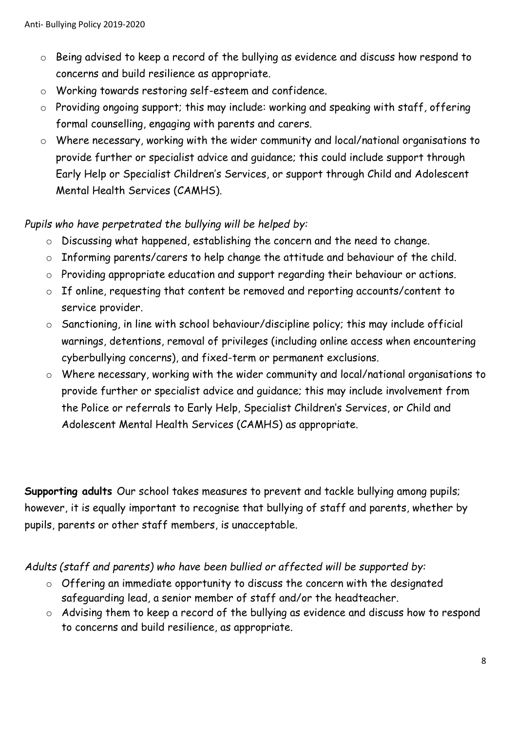- o Being advised to keep a record of the bullying as evidence and discuss how respond to concerns and build resilience as appropriate.
- o Working towards restoring self-esteem and confidence.
- o Providing ongoing support; this may include: working and speaking with staff, offering formal counselling, engaging with parents and carers.
- o Where necessary, working with the wider community and local/national organisations to provide further or specialist advice and guidance; this could include support through Early Help or Specialist Children's Services, or support through Child and Adolescent Mental Health Services (CAMHS).

#### *Pupils who have perpetrated the bullying will be helped by:*

- o Discussing what happened, establishing the concern and the need to change.
- o Informing parents/carers to help change the attitude and behaviour of the child.
- o Providing appropriate education and support regarding their behaviour or actions.
- o If online, requesting that content be removed and reporting accounts/content to service provider.
- o Sanctioning, in line with school behaviour/discipline policy; this may include official warnings, detentions, removal of privileges (including online access when encountering cyberbullying concerns), and fixed-term or permanent exclusions.
- o Where necessary, working with the wider community and local/national organisations to provide further or specialist advice and guidance; this may include involvement from the Police or referrals to Early Help, Specialist Children's Services, or Child and Adolescent Mental Health Services (CAMHS) as appropriate.

**Supporting adults** Our school takes measures to prevent and tackle bullying among pupils; however, it is equally important to recognise that bullying of staff and parents, whether by pupils, parents or other staff members, is unacceptable.

*Adults (staff and parents) who have been bullied or affected will be supported by:*

- o Offering an immediate opportunity to discuss the concern with the designated safeguarding lead, a senior member of staff and/or the headteacher.
- o Advising them to keep a record of the bullying as evidence and discuss how to respond to concerns and build resilience, as appropriate.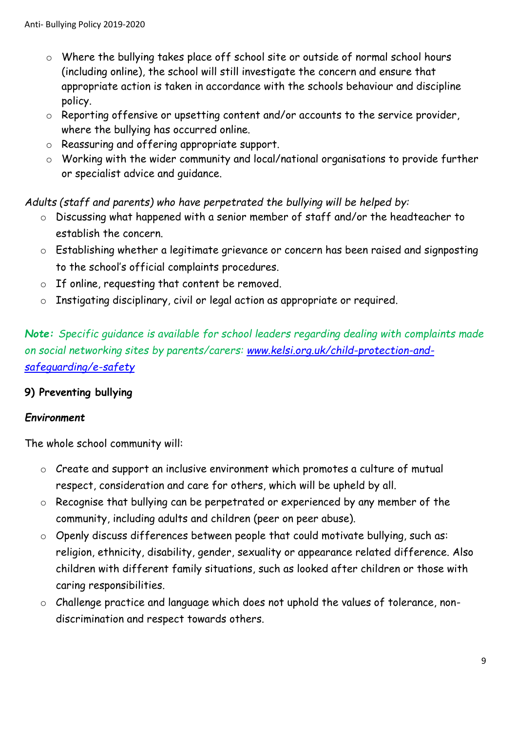- o Where the bullying takes place off school site or outside of normal school hours (including online), the school will still investigate the concern and ensure that appropriate action is taken in accordance with the schools behaviour and discipline policy.
- o Reporting offensive or upsetting content and/or accounts to the service provider, where the bullying has occurred online.
- o Reassuring and offering appropriate support.
- o Working with the wider community and local/national organisations to provide further or specialist advice and guidance.

*Adults (staff and parents) who have perpetrated the bullying will be helped by:*

- o Discussing what happened with a senior member of staff and/or the headteacher to establish the concern.
- o Establishing whether a legitimate grievance or concern has been raised and signposting to the school's official complaints procedures.
- o If online, requesting that content be removed.
- o Instigating disciplinary, civil or legal action as appropriate or required.

*Note: Specific guidance is available for school leaders regarding dealing with complaints made on social networking sites by parents/carers: [www.kelsi.org.uk/child-protection-and](http://www.kelsi.org.uk/child-protection-and-safeguarding/e-safety)[safeguarding/e-safety](http://www.kelsi.org.uk/child-protection-and-safeguarding/e-safety)*

#### **9) Preventing bullying**

#### *Environment*

The whole school community will:

- o Create and support an inclusive environment which promotes a culture of mutual respect, consideration and care for others, which will be upheld by all.
- o Recognise that bullying can be perpetrated or experienced by any member of the community, including adults and children (peer on peer abuse).
- o Openly discuss differences between people that could motivate bullying, such as: religion, ethnicity, disability, gender, sexuality or appearance related difference. Also children with different family situations, such as looked after children or those with caring responsibilities.
- o Challenge practice and language which does not uphold the values of tolerance, nondiscrimination and respect towards others.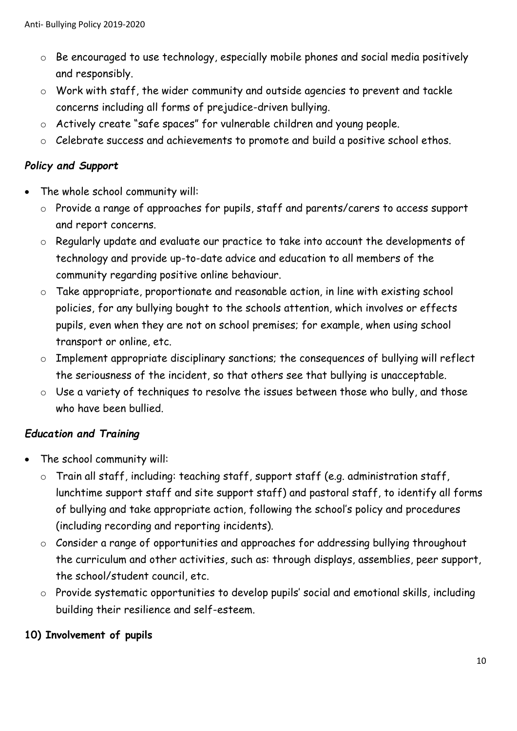- o Be encouraged to use technology, especially mobile phones and social media positively and responsibly.
- o Work with staff, the wider community and outside agencies to prevent and tackle concerns including all forms of prejudice-driven bullying.
- o Actively create "safe spaces" for vulnerable children and young people.
- o Celebrate success and achievements to promote and build a positive school ethos.

#### *Policy and Support*

- The whole school community will:
	- o Provide a range of approaches for pupils, staff and parents/carers to access support and report concerns.
	- o Regularly update and evaluate our practice to take into account the developments of technology and provide up-to-date advice and education to all members of the community regarding positive online behaviour.
	- o Take appropriate, proportionate and reasonable action, in line with existing school policies, for any bullying bought to the schools attention, which involves or effects pupils, even when they are not on school premises; for example, when using school transport or online, etc.
	- o Implement appropriate disciplinary sanctions; the consequences of bullying will reflect the seriousness of the incident, so that others see that bullying is unacceptable.
	- o Use a variety of techniques to resolve the issues between those who bully, and those who have been bullied.

#### *Education and Training*

- The school community will:
	- o Train all staff, including: teaching staff, support staff (e.g. administration staff, lunchtime support staff and site support staff) and pastoral staff, to identify all forms of bullying and take appropriate action, following the school's policy and procedures (including recording and reporting incidents).
	- o Consider a range of opportunities and approaches for addressing bullying throughout the curriculum and other activities, such as: through displays, assemblies, peer support, the school/student council, etc.
	- o Provide systematic opportunities to develop pupils' social and emotional skills, including building their resilience and self-esteem.

#### **10) Involvement of pupils**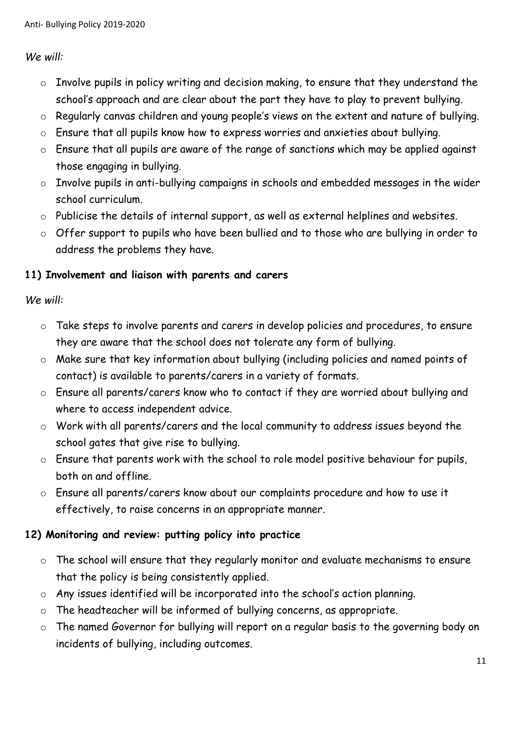#### *We will:*

- o Involve pupils in policy writing and decision making, to ensure that they understand the school's approach and are clear about the part they have to play to prevent bullying.
- o Regularly canvas children and young people's views on the extent and nature of bullying.
- o Ensure that all pupils know how to express worries and anxieties about bullying.
- o Ensure that all pupils are aware of the range of sanctions which may be applied against those engaging in bullying.
- o Involve pupils in anti-bullying campaigns in schools and embedded messages in the wider school curriculum.
- o Publicise the details of internal support, as well as external helplines and websites.
- o Offer support to pupils who have been bullied and to those who are bullying in order to address the problems they have.

#### **11) Involvement and liaison with parents and carers**

#### *We will:*

- o Take steps to involve parents and carers in develop policies and procedures, to ensure they are aware that the school does not tolerate any form of bullying.
- o Make sure that key information about bullying (including policies and named points of contact) is available to parents/carers in a variety of formats.
- o Ensure all parents/carers know who to contact if they are worried about bullying and where to access independent advice.
- o Work with all parents/carers and the local community to address issues beyond the school gates that give rise to bullying.
- o Ensure that parents work with the school to role model positive behaviour for pupils, both on and offline.
- o Ensure all parents/carers know about our complaints procedure and how to use it effectively, to raise concerns in an appropriate manner.

#### **12) Monitoring and review: putting policy into practice**

- o The school will ensure that they regularly monitor and evaluate mechanisms to ensure that the policy is being consistently applied.
- o Any issues identified will be incorporated into the school's action planning.
- o The headteacher will be informed of bullying concerns, as appropriate.
- o The named Governor for bullying will report on a regular basis to the governing body on incidents of bullying, including outcomes.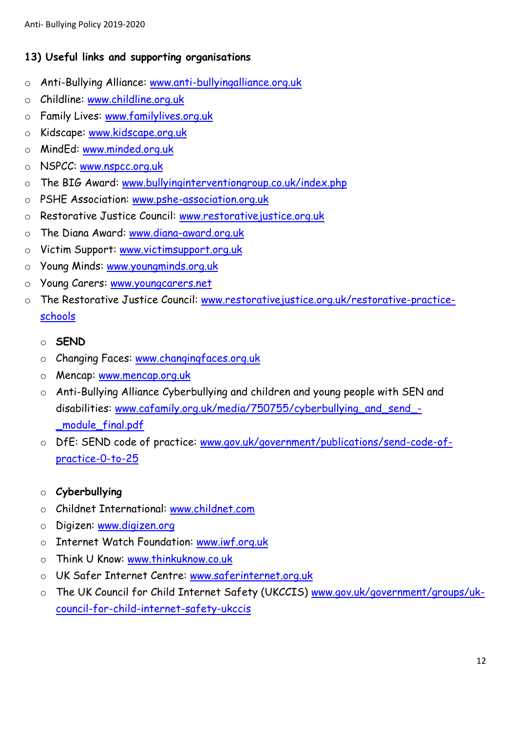#### **13) Useful links and supporting organisations**

- o Anti-Bullying Alliance: [www.anti-bullyingalliance.org.uk](http://www.anti-bullyingalliance.org.uk/)
- o Childline: [www.childline.org.uk](http://www.childline.org.uk/)
- o Family Lives: [www.familylives.org.uk](http://www.familylives.org.uk/)
- o Kidscape: [www.kidscape.org.uk](http://www.kidscape.org.uk/)
- o MindEd: [www.minded.org.uk](http://www.minded.org.uk/)
- o NSPCC: [www.nspcc.org.uk](http://www.nspcc.org.uk/)
- o The BIG Award: [www.bullyinginterventiongroup.co.uk/index.php](https://www.bullyinginterventiongroup.co.uk/index.php)
- o PSHE Association: [www.pshe-association.org.uk](http://www.pshe-association.org.uk/)
- o Restorative Justice Council: [www.restorativejustice.org.uk](http://www.restorativejustice.org.uk/)
- o The Diana Award: [www.diana-award.org.uk](http://www.diana-award.org.uk/)
- o Victim Support: [www.victimsupport.org.uk](http://www.victimsupport.org.uk/)
- o Young Minds: [www.youngminds.org.uk](http://www.youngminds.org.uk/)
- o Young Carers: [www.youngcarers.net](http://www.youngcarers.net/)
- o The Restorative Justice Council: [www.restorativejustice.org.uk/restorative-practice](http://www.restorativejustice.org.uk/restorative-practice-schools)[schools](http://www.restorativejustice.org.uk/restorative-practice-schools)
	- o **SEND**
	- o Changing Faces: [www.changingfaces.org.uk](http://www.changingfaces.org.uk/)
	- o Mencap: [www.mencap.org.uk](http://www.mencap.org.uk/)
	- o Anti-Bullying Alliance Cyberbullying and children and young people with SEN and disabilities: [www.cafamily.org.uk/media/750755/cyberbullying\\_and\\_send\\_-](http://www.cafamily.org.uk/media/750755/cyberbullying_and_send_-_module_final.pdf) [\\_module\\_final.pdf](http://www.cafamily.org.uk/media/750755/cyberbullying_and_send_-_module_final.pdf)
	- o DfE: SEND code of practice: [www.gov.uk/government/publications/send-code-of](https://www.gov.uk/government/publications/send-code-of-practice-0-to-25)[practice-0-to-25](https://www.gov.uk/government/publications/send-code-of-practice-0-to-25)
	- o **Cyberbullying**
	- o Childnet International: [www.childnet.com](http://www.childnet.com/)
	- o Digizen: [www.digizen.org](http://www.digizen.org/)
	- o Internet Watch Foundation: [www.iwf.org.uk](http://www.iwf.org.uk/)
	- o Think U Know: [www.thinkuknow.co.uk](http://www.thinkuknow.co.uk/)
	- o UK Safer Internet Centre: [www.saferinternet.org.uk](http://www.saferinternet.org.uk/)
	- o The UK Council for Child Internet Safety (UKCCIS) [www.gov.uk/government/groups/uk](http://www.gov.uk/government/groups/uk-council-for-child-internet-safety-ukccis)[council-for-child-internet-safety-ukccis](http://www.gov.uk/government/groups/uk-council-for-child-internet-safety-ukccis)